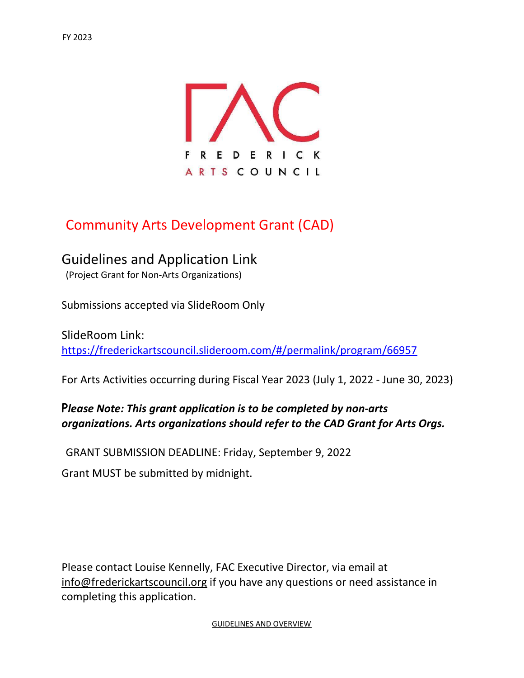

# Community Arts Development Grant (CAD)

# Guidelines and Application Link

(Project Grant for Non-Arts Organizations)

Submissions accepted via SlideRoom Only

SlideRoom Link: https://frederickartscouncil.slideroom.com/#/permalink/program/66957

For Arts Activities occurring during Fiscal Year 2023 (July 1, 2022 - June 30, 2023)

# Please Note: This grant application is to be completed by non-arts organizations. Arts organizations should refer to the CAD Grant for Arts Orgs.

GRANT SUBMISSION DEADLINE: Friday, September 9, 2022

Grant MUST be submitted by midnight.

Please contact Louise Kennelly, FAC Executive Director, via email at info@frederickartscouncil.org if you have any questions or need assistance in completing this application.

GUIDELINES AND OVERVIEW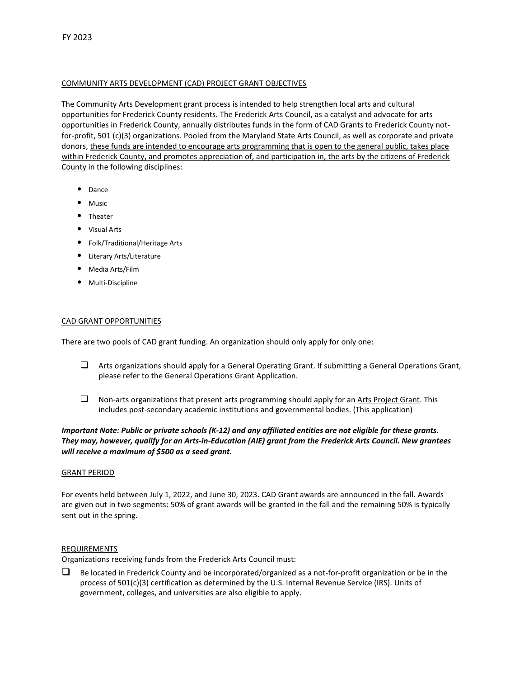# COMMUNITY ARTS DEVELOPMENT (CAD) PROJECT GRANT OBJECTIVES

The Community Arts Development grant process is intended to help strengthen local arts and cultural opportunities for Frederick County residents. The Frederick Arts Council, as a catalyst and advocate for arts opportunities in Frederick County, annually distributes funds in the form of CAD Grants to Frederick County notfor-profit, 501 (c)(3) organizations. Pooled from the Maryland State Arts Council, as well as corporate and private donors, these funds are intended to encourage arts programming that is open to the general public, takes place within Frederick County, and promotes appreciation of, and participation in, the arts by the citizens of Frederick County in the following disciplines:

- Dance
- Music
- Theater
- Visual Arts
- Folk/Traditional/Heritage Arts
- Literary Arts/Literature
- Media Arts/Film
- Multi-Discipline

# CAD GRANT OPPORTUNITIES

There are two pools of CAD grant funding. An organization should only apply for only one:

- $\Box$  Arts organizations should apply for a General Operating Grant. If submitting a General Operations Grant, please refer to the General Operations Grant Application.
- $\Box$  Non-arts organizations that present arts programming should apply for an Arts Project Grant. This includes post-secondary academic institutions and governmental bodies. (This application)

# Important Note: Public or private schools (K-12) and any affiliated entities are not eligible for these grants. They may, however, qualify for an Arts-in-Education (AIE) grant from the Frederick Arts Council. New grantees will receive a maximum of \$500 as a seed grant.

#### GRANT PERIOD

For events held between July 1, 2022, and June 30, 2023. CAD Grant awards are announced in the fall. Awards are given out in two segments: 50% of grant awards will be granted in the fall and the remaining 50% is typically sent out in the spring.

#### REQUIREMENTS

Organizations receiving funds from the Frederick Arts Council must:

 $\Box$  Be located in Frederick County and be incorporated/organized as a not-for-profit organization or be in the process of 501(c)(3) certification as determined by the U.S. Internal Revenue Service (IRS). Units of government, colleges, and universities are also eligible to apply.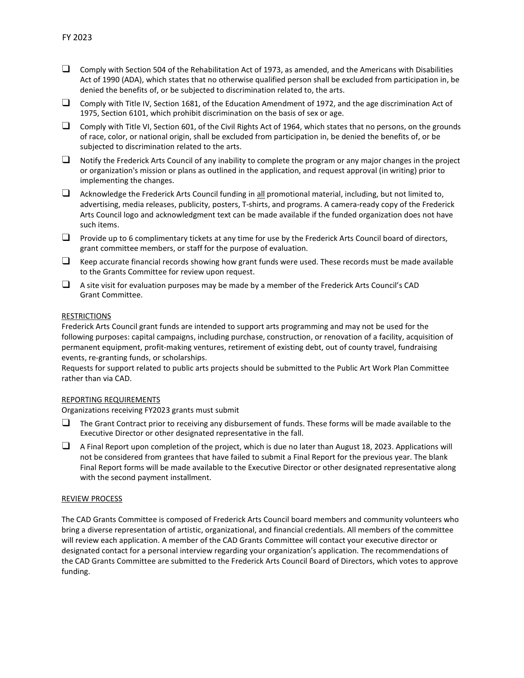- $\Box$  Comply with Section 504 of the Rehabilitation Act of 1973, as amended, and the Americans with Disabilities Act of 1990 (ADA), which states that no otherwise qualified person shall be excluded from participation in, be denied the benefits of, or be subjected to discrimination related to, the arts.
- ❑ Comply with Title IV, Section 1681, of the Education Amendment of 1972, and the age discrimination Act of 1975, Section 6101, which prohibit discrimination on the basis of sex or age.
- $\Box$  Comply with Title VI, Section 601, of the Civil Rights Act of 1964, which states that no persons, on the grounds of race, color, or national origin, shall be excluded from participation in, be denied the benefits of, or be subjected to discrimination related to the arts.
- $\Box$  Notify the Frederick Arts Council of any inability to complete the program or any major changes in the project or organization's mission or plans as outlined in the application, and request approval (in writing) prior to implementing the changes.
- $\Box$  Acknowledge the Frederick Arts Council funding in all promotional material, including, but not limited to, advertising, media releases, publicity, posters, T-shirts, and programs. A camera-ready copy of the Frederick Arts Council logo and acknowledgment text can be made available if the funded organization does not have such items.
- $\Box$  Provide up to 6 complimentary tickets at any time for use by the Frederick Arts Council board of directors, grant committee members, or staff for the purpose of evaluation.
- $\Box$  Keep accurate financial records showing how grant funds were used. These records must be made available to the Grants Committee for review upon request.
- ❑ A site visit for evaluation purposes may be made by a member of the Frederick Arts Council's CAD Grant Committee.

#### RESTRICTIONS

Frederick Arts Council grant funds are intended to support arts programming and may not be used for the following purposes: capital campaigns, including purchase, construction, or renovation of a facility, acquisition of permanent equipment, profit-making ventures, retirement of existing debt, out of county travel, fundraising events, re-granting funds, or scholarships.

Requests for support related to public arts projects should be submitted to the Public Art Work Plan Committee rather than via CAD.

#### REPORTING REQUIREMENTS

Organizations receiving FY2023 grants must submit

- ❑ The Grant Contract prior to receiving any disbursement of funds. These forms will be made available to the Executive Director or other designated representative in the fall.
- ❑ A Final Report upon completion of the project, which is due no later than August 18, 2023. Applications will not be considered from grantees that have failed to submit a Final Report for the previous year. The blank Final Report forms will be made available to the Executive Director or other designated representative along with the second payment installment.

#### REVIEW PROCESS

The CAD Grants Committee is composed of Frederick Arts Council board members and community volunteers who bring a diverse representation of artistic, organizational, and financial credentials. All members of the committee will review each application. A member of the CAD Grants Committee will contact your executive director or designated contact for a personal interview regarding your organization's application. The recommendations of the CAD Grants Committee are submitted to the Frederick Arts Council Board of Directors, which votes to approve funding.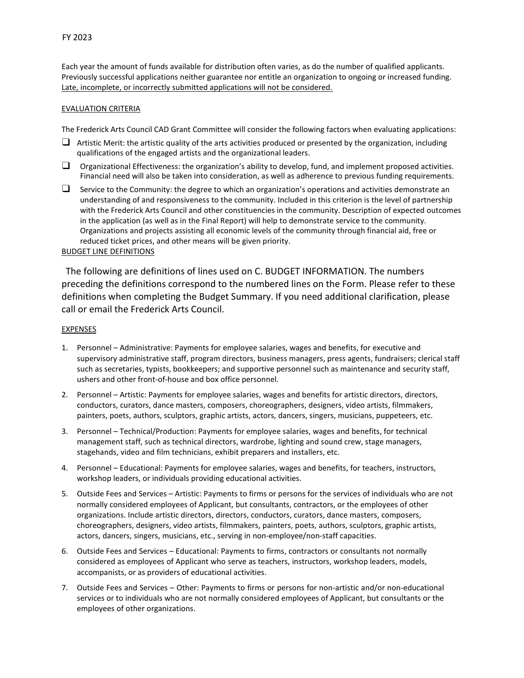Each year the amount of funds available for distribution often varies, as do the number of qualified applicants. Previously successful applications neither guarantee nor entitle an organization to ongoing or increased funding. Late, incomplete, or incorrectly submitted applications will not be considered.

# EVALUATION CRITERIA

The Frederick Arts Council CAD Grant Committee will consider the following factors when evaluating applications:

- $\Box$  Artistic Merit: the artistic quality of the arts activities produced or presented by the organization, including qualifications of the engaged artists and the organizational leaders.
- $\Box$  Organizational Effectiveness: the organization's ability to develop, fund, and implement proposed activities. Financial need will also be taken into consideration, as well as adherence to previous funding requirements.
- ❑ Service to the Community: the degree to which an organization's operations and activities demonstrate an understanding of and responsiveness to the community. Included in this criterion is the level of partnership with the Frederick Arts Council and other constituencies in the community. Description of expected outcomes in the application (as well as in the Final Report) will help to demonstrate service to the community. Organizations and projects assisting all economic levels of the community through financial aid, free or reduced ticket prices, and other means will be given priority.

# BUDGET LINE DEFINITIONS

The following are definitions of lines used on C. BUDGET INFORMATION. The numbers preceding the definitions correspond to the numbered lines on the Form. Please refer to these definitions when completing the Budget Summary. If you need additional clarification, please call or email the Frederick Arts Council.

# **EXPENSES**

- 1. Personnel Administrative: Payments for employee salaries, wages and benefits, for executive and supervisory administrative staff, program directors, business managers, press agents, fundraisers; clerical staff such as secretaries, typists, bookkeepers; and supportive personnel such as maintenance and security staff, ushers and other front-of-house and box office personnel.
- 2. Personnel Artistic: Payments for employee salaries, wages and benefits for artistic directors, directors, conductors, curators, dance masters, composers, choreographers, designers, video artists, filmmakers, painters, poets, authors, sculptors, graphic artists, actors, dancers, singers, musicians, puppeteers, etc.
- 3. Personnel Technical/Production: Payments for employee salaries, wages and benefits, for technical management staff, such as technical directors, wardrobe, lighting and sound crew, stage managers, stagehands, video and film technicians, exhibit preparers and installers, etc.
- 4. Personnel Educational: Payments for employee salaries, wages and benefits, for teachers, instructors, workshop leaders, or individuals providing educational activities.
- 5. Outside Fees and Services Artistic: Payments to firms or persons for the services of individuals who are not normally considered employees of Applicant, but consultants, contractors, or the employees of other organizations. Include artistic directors, directors, conductors, curators, dance masters, composers, choreographers, designers, video artists, filmmakers, painters, poets, authors, sculptors, graphic artists, actors, dancers, singers, musicians, etc., serving in non-employee/non-staff capacities.
- 6. Outside Fees and Services Educational: Payments to firms, contractors or consultants not normally considered as employees of Applicant who serve as teachers, instructors, workshop leaders, models, accompanists, or as providers of educational activities.
- 7. Outside Fees and Services Other: Payments to firms or persons for non-artistic and/or non-educational services or to individuals who are not normally considered employees of Applicant, but consultants or the employees of other organizations.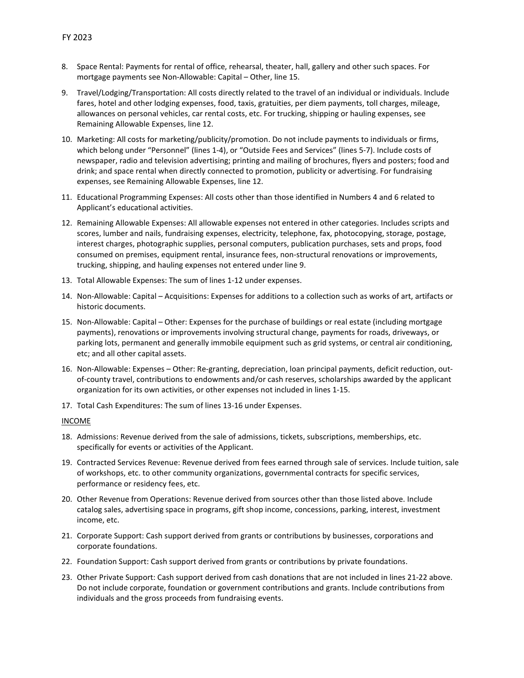- 8. Space Rental: Payments for rental of office, rehearsal, theater, hall, gallery and other such spaces. For mortgage payments see Non-Allowable: Capital – Other, line 15.
- 9. Travel/Lodging/Transportation: All costs directly related to the travel of an individual or individuals. Include fares, hotel and other lodging expenses, food, taxis, gratuities, per diem payments, toll charges, mileage, allowances on personal vehicles, car rental costs, etc. For trucking, shipping or hauling expenses, see Remaining Allowable Expenses, line 12.
- 10. Marketing: All costs for marketing/publicity/promotion. Do not include payments to individuals or firms, which belong under "Personnel" (lines 1-4), or "Outside Fees and Services" (lines 5-7). Include costs of newspaper, radio and television advertising; printing and mailing of brochures, flyers and posters; food and drink; and space rental when directly connected to promotion, publicity or advertising. For fundraising expenses, see Remaining Allowable Expenses, line 12.
- 11. Educational Programming Expenses: All costs other than those identified in Numbers 4 and 6 related to Applicant's educational activities.
- 12. Remaining Allowable Expenses: All allowable expenses not entered in other categories. Includes scripts and scores, lumber and nails, fundraising expenses, electricity, telephone, fax, photocopying, storage, postage, interest charges, photographic supplies, personal computers, publication purchases, sets and props, food consumed on premises, equipment rental, insurance fees, non-structural renovations or improvements, trucking, shipping, and hauling expenses not entered under line 9.
- 13. Total Allowable Expenses: The sum of lines 1-12 under expenses.
- 14. Non-Allowable: Capital Acquisitions: Expenses for additions to a collection such as works of art, artifacts or historic documents.
- 15. Non-Allowable: Capital Other: Expenses for the purchase of buildings or real estate (including mortgage payments), renovations or improvements involving structural change, payments for roads, driveways, or parking lots, permanent and generally immobile equipment such as grid systems, or central air conditioning, etc; and all other capital assets.
- 16. Non-Allowable: Expenses Other: Re-granting, depreciation, loan principal payments, deficit reduction, outof-county travel, contributions to endowments and/or cash reserves, scholarships awarded by the applicant organization for its own activities, or other expenses not included in lines 1-15.
- 17. Total Cash Expenditures: The sum of lines 13-16 under Expenses.

#### INCOME

- 18. Admissions: Revenue derived from the sale of admissions, tickets, subscriptions, memberships, etc. specifically for events or activities of the Applicant.
- 19. Contracted Services Revenue: Revenue derived from fees earned through sale of services. Include tuition, sale of workshops, etc. to other community organizations, governmental contracts for specific services, performance or residency fees, etc.
- 20. Other Revenue from Operations: Revenue derived from sources other than those listed above. Include catalog sales, advertising space in programs, gift shop income, concessions, parking, interest, investment income, etc.
- 21. Corporate Support: Cash support derived from grants or contributions by businesses, corporations and corporate foundations.
- 22. Foundation Support: Cash support derived from grants or contributions by private foundations.
- 23. Other Private Support: Cash support derived from cash donations that are not included in lines 21-22 above. Do not include corporate, foundation or government contributions and grants. Include contributions from individuals and the gross proceeds from fundraising events.